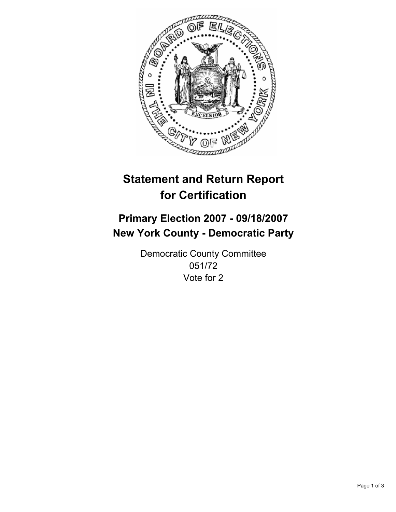

# **Statement and Return Report for Certification**

# **Primary Election 2007 - 09/18/2007 New York County - Democratic Party**

Democratic County Committee 051/72 Vote for 2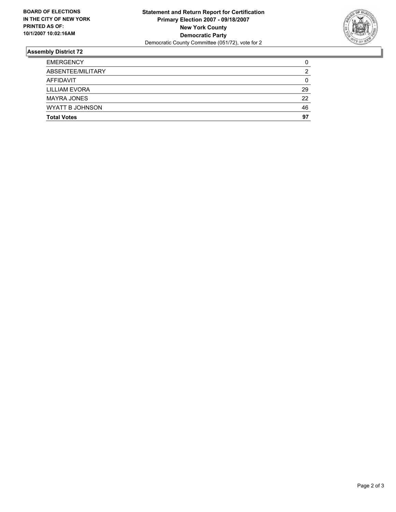

## **Assembly District 72**

| <b>MAYRA JONES</b><br><b>WYATT B JOHNSON</b> | 22<br>46 |
|----------------------------------------------|----------|
| <b>LILLIAM EVORA</b>                         | 29       |
| AFFIDAVIT                                    | 0        |
| ABSENTEE/MILITARY                            |          |
| <b>EMERGENCY</b>                             |          |